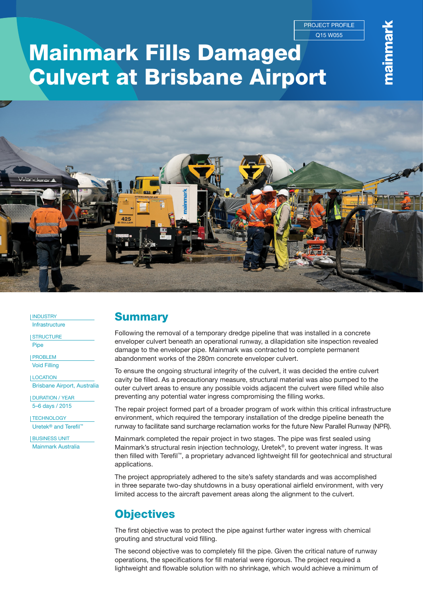Q15 W055 PROJECT PROFILE

# Mainmark Fills Damaged Culvert at Brisbane Airport



**INDUSTRY Infrastructure** 

**I STRUCTURE** 

Pipe

PROBLEM Void Filling

LOCATION Brisbane Airport, Australia

DURATION / YEAR 5–6 days / 2015

TECHNOLOGY Uretek<sup>®</sup> and Terefil™

BUSINESS UNIT Mainmark Australia

### **Summary**

Following the removal of a temporary dredge pipeline that was installed in a concrete enveloper culvert beneath an operational runway, a dilapidation site inspection revealed damage to the enveloper pipe. Mainmark was contracted to complete permanent abandonment works of the 280m concrete enveloper culvert.

To ensure the ongoing structural integrity of the culvert, it was decided the entire culvert cavity be filled. As a precautionary measure, structural material was also pumped to the outer culvert areas to ensure any possible voids adjacent the culvert were filled while also preventing any potential water ingress compromising the filling works.

The repair project formed part of a broader program of work within this critical infrastructure environment, which required the temporary installation of the dredge pipeline beneath the runway to facilitate sand surcharge reclamation works for the future New Parallel Runway (NPR).

Mainmark completed the repair project in two stages. The pipe was first sealed using Mainmark's structural resin injection technology, Uretek®, to prevent water ingress. It was then filled with Terefil™, a proprietary advanced lightweight fill for geotechnical and structural applications.

The project appropriately adhered to the site's safety standards and was accomplished in three separate two-day shutdowns in a busy operational airfield environment, with very limited access to the aircraft pavement areas along the alignment to the culvert.

# **Objectives**

The first objective was to protect the pipe against further water ingress with chemical grouting and structural void filling.

The second objective was to completely fill the pipe. Given the critical nature of runway operations, the specifications for fill material were rigorous. The project required a lightweight and flowable solution with no shrinkage, which would achieve a minimum of